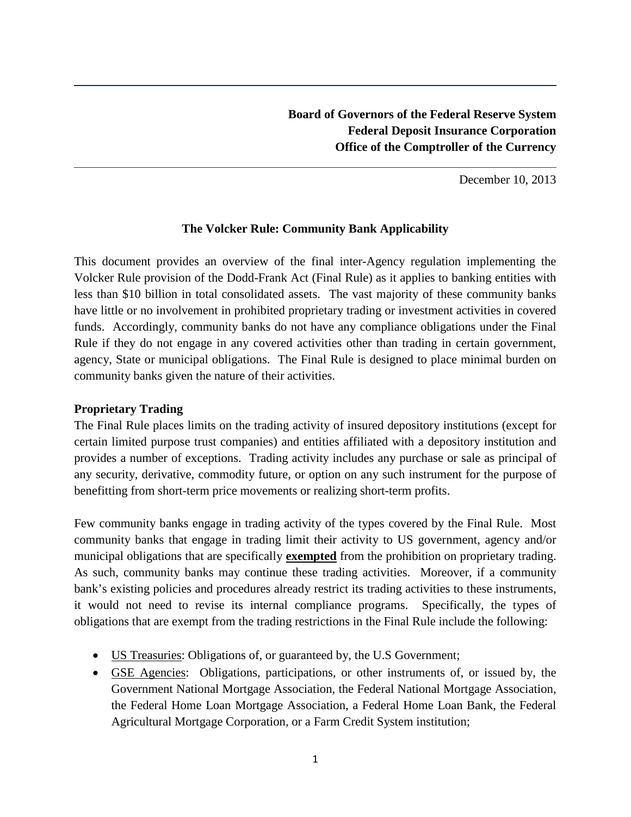December 10, 2013

## **The Volcker Rule: Community Bank Applicability**

This document provides an overview of the final inter-Agency regulation implementing the Volcker Rule provision of the Dodd-Frank Act (Final Rule) as it applies to banking entities with less than \$10 billion in total consolidated assets. The vast majority of these community banks have little or no involvement in prohibited proprietary trading or investment activities in covered funds. Accordingly, community banks do not have any compliance obligations under the Final Rule if they do not engage in any covered activities other than trading in certain government, agency, State or municipal obligations. The Final Rule is designed to place minimal burden on community banks given the nature of their activities.

## **Proprietary Trading**

The Final Rule places limits on the trading activity of insured depository institutions (except for certain limited purpose trust companies) and entities affiliated with a depository institution and provides a number of exceptions. Trading activity includes any purchase or sale as principal of any security, derivative, commodity future, or option on any such instrument for the purpose of benefitting from short-term price movements or realizing short-term profits.

Few community banks engage in trading activity of the types covered by the Final Rule. Most community banks that engage in trading limit their activity to US government, agency and/or municipal obligations that are specifically **exempted** from the prohibition on proprietary trading. As such, community banks may continue these trading activities. Moreover, if a community bank's existing policies and procedures already restrict its trading activities to these instruments, it would not need to revise its internal compliance programs. Specifically, the types of obligations that are exempt from the trading restrictions in the Final Rule include the following:

- US Treasuries: Obligations of, or guaranteed by, the U.S Government;
- GSE Agencies: Obligations, participations, or other instruments of, or issued by, the Government National Mortgage Association, the Federal National Mortgage Association, the Federal Home Loan Mortgage Association, a Federal Home Loan Bank, the Federal Agricultural Mortgage Corporation, or a Farm Credit System institution;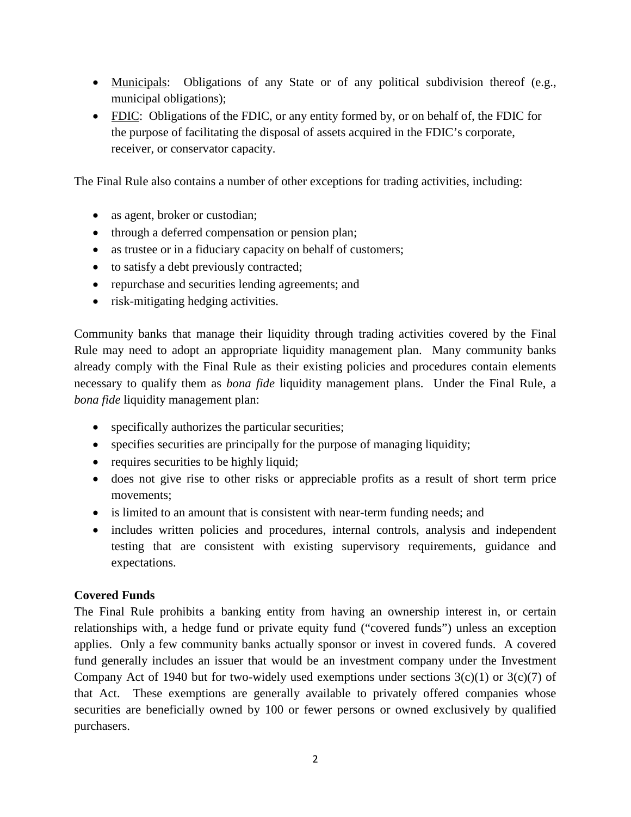- Municipals: Obligations of any State or of any political subdivision thereof (e.g., municipal obligations);
- FDIC: Obligations of the FDIC, or any entity formed by, or on behalf of, the FDIC for the purpose of facilitating the disposal of assets acquired in the FDIC's corporate, receiver, or conservator capacity.

The Final Rule also contains a number of other exceptions for trading activities, including:

- as agent, broker or custodian;
- through a deferred compensation or pension plan;
- as trustee or in a fiduciary capacity on behalf of customers;
- to satisfy a debt previously contracted;
- repurchase and securities lending agreements; and
- risk-mitigating hedging activities.

Community banks that manage their liquidity through trading activities covered by the Final Rule may need to adopt an appropriate liquidity management plan. Many community banks already comply with the Final Rule as their existing policies and procedures contain elements necessary to qualify them as *bona fide* liquidity management plans. Under the Final Rule, a *bona fide* liquidity management plan:

- specifically authorizes the particular securities;
- specifies securities are principally for the purpose of managing liquidity;
- requires securities to be highly liquid;
- does not give rise to other risks or appreciable profits as a result of short term price movements;
- is limited to an amount that is consistent with near-term funding needs; and
- includes written policies and procedures, internal controls, analysis and independent testing that are consistent with existing supervisory requirements, guidance and expectations.

## **Covered Funds**

The Final Rule prohibits a banking entity from having an ownership interest in, or certain relationships with, a hedge fund or private equity fund ("covered funds") unless an exception applies. Only a few community banks actually sponsor or invest in covered funds. A covered fund generally includes an issuer that would be an investment company under the Investment Company Act of 1940 but for two-widely used exemptions under sections  $3(c)(1)$  or  $3(c)(7)$  of that Act. These exemptions are generally available to privately offered companies whose securities are beneficially owned by 100 or fewer persons or owned exclusively by qualified purchasers.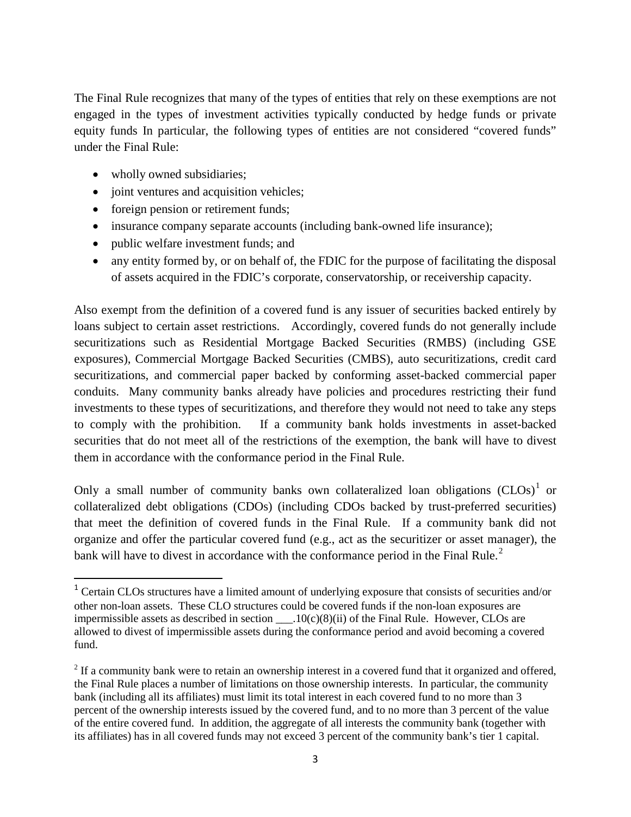The Final Rule recognizes that many of the types of entities that rely on these exemptions are not engaged in the types of investment activities typically conducted by hedge funds or private equity funds In particular, the following types of entities are not considered "covered funds" under the Final Rule:

• wholly owned subsidiaries;

 $\overline{\phantom{a}}$ 

- joint ventures and acquisition vehicles;
- foreign pension or retirement funds;
- insurance company separate accounts (including bank-owned life insurance);
- public welfare investment funds; and
- any entity formed by, or on behalf of, the FDIC for the purpose of facilitating the disposal of assets acquired in the FDIC's corporate, conservatorship, or receivership capacity.

Also exempt from the definition of a covered fund is any issuer of securities backed entirely by loans subject to certain asset restrictions. Accordingly, covered funds do not generally include securitizations such as Residential Mortgage Backed Securities (RMBS) (including GSE exposures), Commercial Mortgage Backed Securities (CMBS), auto securitizations, credit card securitizations, and commercial paper backed by conforming asset-backed commercial paper conduits. Many community banks already have policies and procedures restricting their fund investments to these types of securitizations, and therefore they would not need to take any steps to comply with the prohibition. If a community bank holds investments in asset-backed securities that do not meet all of the restrictions of the exemption, the bank will have to divest them in accordance with the conformance period in the Final Rule.

Only a small number of community banks own collateralized loan obligations  $(CLOS)^{1}$  or collateralized debt obligations (CDOs) (including CDOs backed by trust-preferred securities) that meet the definition of covered funds in the Final Rule. If a community bank did not organize and offer the particular covered fund (e.g., act as the securitizer or asset manager), the bank will have to divest in accordance with the conformance period in the Final Rule. $2$ 

<sup>&</sup>lt;sup>1</sup> Certain CLOs structures have a limited amount of underlying exposure that consists of securities and/or other non-loan assets. These CLO structures could be covered funds if the non-loan exposures are impermissible assets as described in section  $\qquad 10(c)(8)(ii)$  of the Final Rule. However, CLOs are allowed to divest of impermissible assets during the conformance period and avoid becoming a covered fund.

 $2$  If a community bank were to retain an ownership interest in a covered fund that it organized and offered, the Final Rule places a number of limitations on those ownership interests. In particular, the community bank (including all its affiliates) must limit its total interest in each covered fund to no more than 3 percent of the ownership interests issued by the covered fund, and to no more than 3 percent of the value of the entire covered fund. In addition, the aggregate of all interests the community bank (together with its affiliates) has in all covered funds may not exceed 3 percent of the community bank's tier 1 capital.